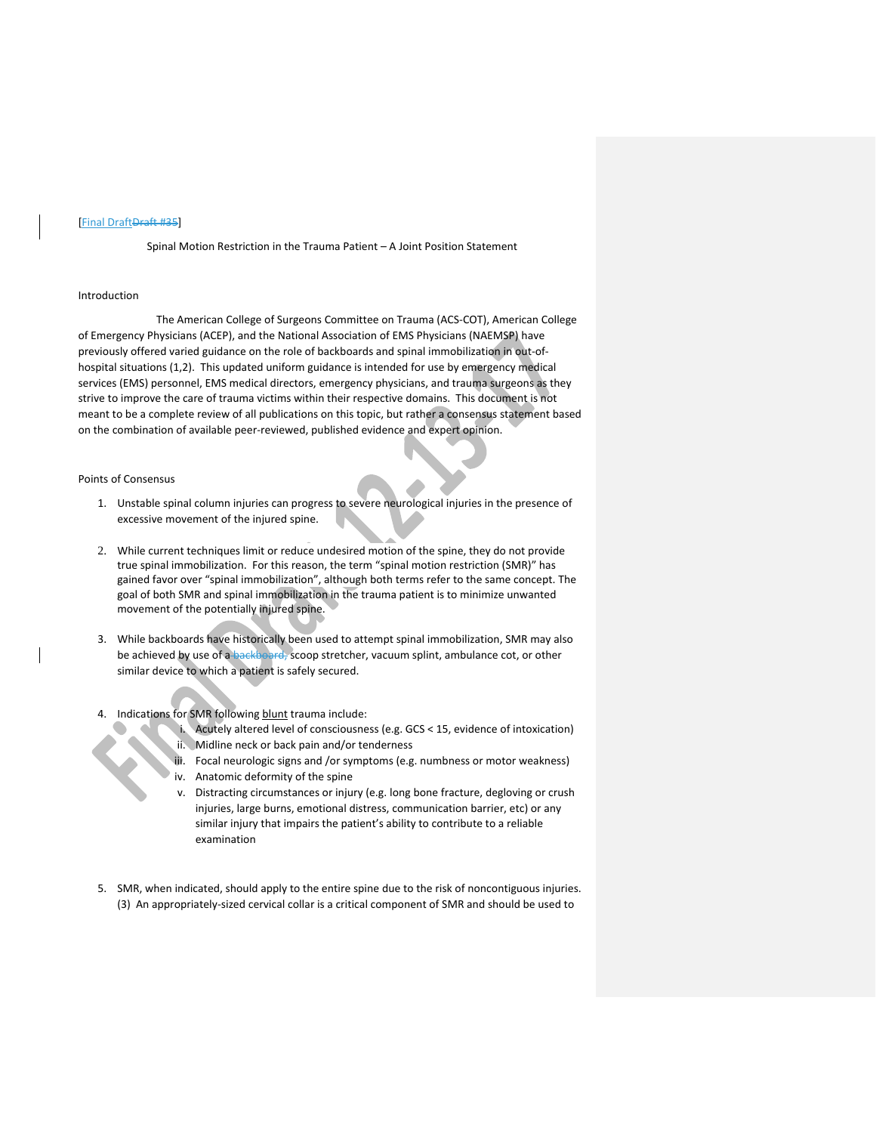#### [Final Draft<del>Draft #35</del>]

Spinal Motion Restriction in the Trauma Patient – A Joint Position Statement

### Introduction

The American College of Surgeons Committee on Trauma (ACS-COT), American College of Emergency Physicians (ACEP), and the National Association of EMS Physicians (NAEMSP) have previously offered varied guidance on the role of backboards and spinal immobilization in out-ofhospital situations (1,2). This updated uniform guidance is intended for use by emergency medical services (EMS) personnel, EMS medical directors, emergency physicians, and trauma surgeons as they strive to improve the care of trauma victims within their respective domains. This document is not meant to be a complete review of all publications on this topic, but rather a consensus statement based on the combination of available peer-reviewed, published evidence and expert opinion.

#### Points of Consensus

- 1. Unstable spinal column injuries can progress to severe neurological injuries in the presence of excessive movement of the injured spine.
- 2. While current techniques limit or reduce undesired motion of the spine, they do not provide true spinal immobilization. For this reason, the term "spinal motion restriction (SMR)" has gained favor over "spinal immobilization", although both terms refer to the same concept. The goal of both SMR and spinal immobilization in the trauma patient is to minimize unwanted movement of the potentially injured spine.
- 3. While backboards have historically been used to attempt spinal immobilization, SMR may also be achieved by use of a backboard, scoop stretcher, vacuum splint, ambulance cot, or other similar device to which a patient is safely secured.

# 4. Indications for SMR following blunt trauma include:

- i. Acutely altered level of consciousness (e.g. GCS < 15, evidence of intoxication)
- ii. Midline neck or back pain and/or tenderness
- iii. Focal neurologic signs and /or symptoms (e.g. numbness or motor weakness)
- $\bigcup_{i=1}^{n}$  iv. Anatomic deformity of the spine
	- v. Distracting circumstances or injury (e.g. long bone fracture, degloving or crush injuries, large burns, emotional distress, communication barrier, etc) or any similar injury that impairs the patient's ability to contribute to a reliable examination
- 5. SMR, when indicated, should apply to the entire spine due to the risk of noncontiguous injuries. (3) An appropriately-sized cervical collar is a critical component of SMR and should be used to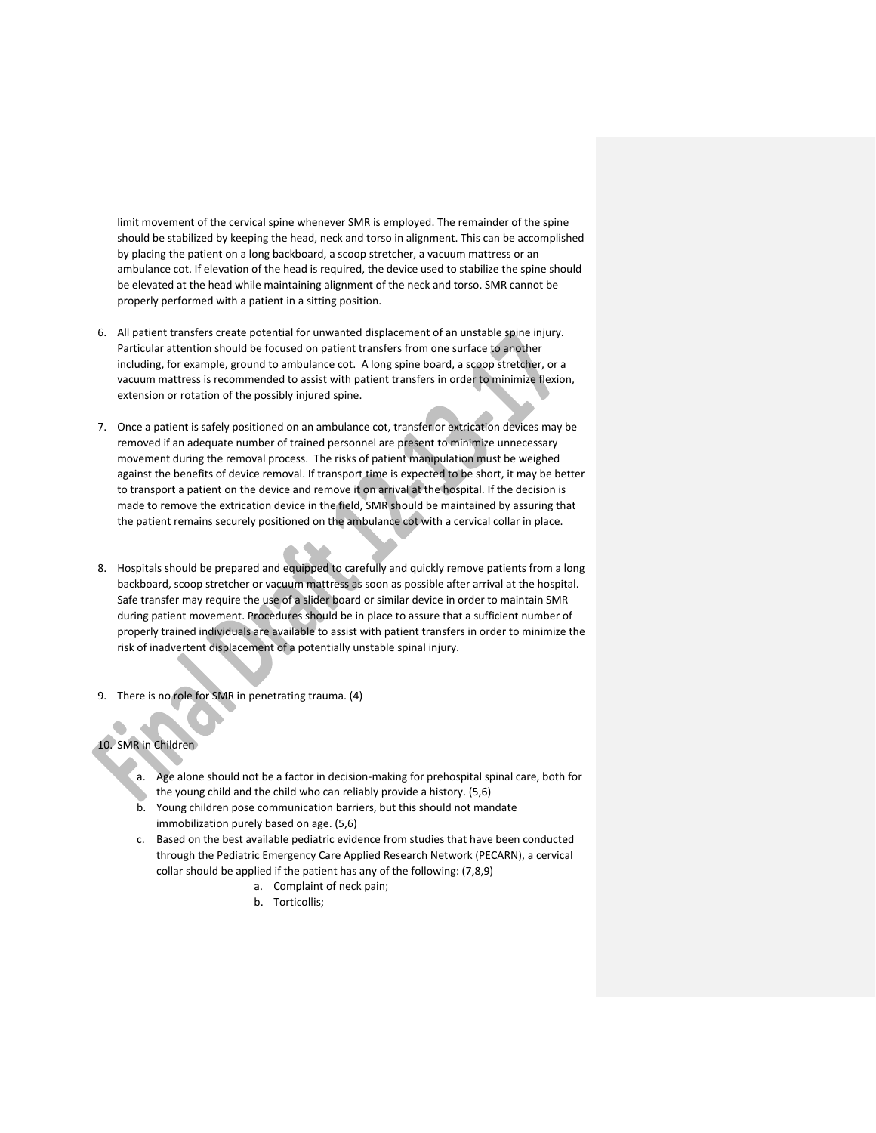limit movement of the cervical spine whenever SMR is employed. The remainder of the spine should be stabilized by keeping the head, neck and torso in alignment. This can be accomplished by placing the patient on a long backboard, a scoop stretcher, a vacuum mattress or an ambulance cot. If elevation of the head is required, the device used to stabilize the spine should be elevated at the head while maintaining alignment of the neck and torso. SMR cannot be properly performed with a patient in a sitting position.

- 6. All patient transfers create potential for unwanted displacement of an unstable spine injury. Particular attention should be focused on patient transfers from one surface to another including, for example, ground to ambulance cot. A long spine board, a scoop stretcher, or a vacuum mattress is recommended to assist with patient transfers in order to minimize flexion, extension or rotation of the possibly injured spine.
- 7. Once a patient is safely positioned on an ambulance cot, transfer or extrication devices may be removed if an adequate number of trained personnel are present to minimize unnecessary movement during the removal process. The risks of patient manipulation must be weighed against the benefits of device removal. If transport time is expected to be short, it may be better to transport a patient on the device and remove it on arrival at the hospital. If the decision is made to remove the extrication device in the field, SMR should be maintained by assuring that the patient remains securely positioned on the ambulance cot with a cervical collar in place.
- 8. Hospitals should be prepared and equipped to carefully and quickly remove patients from a long backboard, scoop stretcher or vacuum mattress as soon as possible after arrival at the hospital. Safe transfer may require the use of a slider board or similar device in order to maintain SMR during patient movement. Procedures should be in place to assure that a sufficient number of properly trained individuals are available to assist with patient transfers in order to minimize the risk of inadvertent displacement of a potentially unstable spinal injury.
- 9. There is no role for SMR in penetrating trauma. (4)

## 10. SMR in Children

- a. Age alone should not be a factor in decision-making for prehospital spinal care, both for the young child and the child who can reliably provide a history. (5,6)
- b. Young children pose communication barriers, but this should not mandate immobilization purely based on age. (5,6)
- c. Based on the best available pediatric evidence from studies that have been conducted through the Pediatric Emergency Care Applied Research Network (PECARN), a cervical collar should be applied if the patient has any of the following: (7,8,9)
	- a. Complaint of neck pain;
	- b. Torticollis;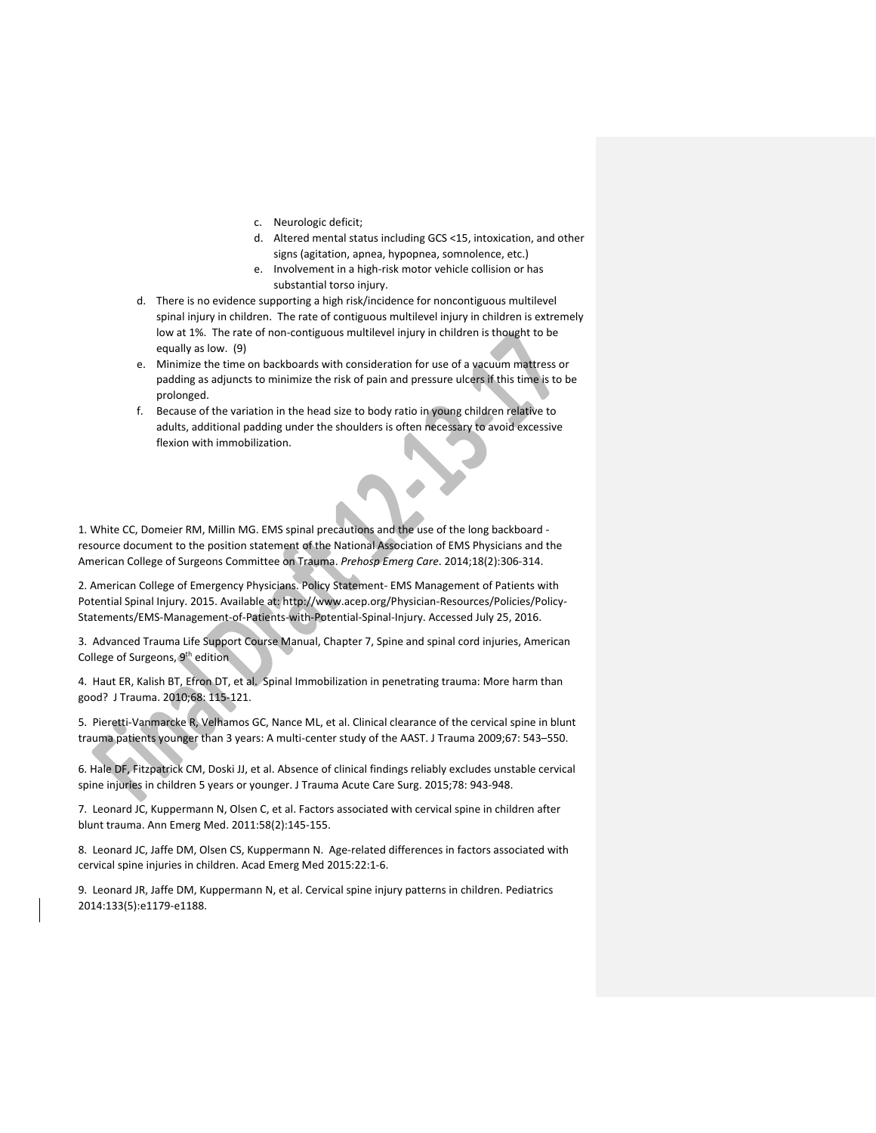- c. Neurologic deficit;
- d. Altered mental status including GCS <15, intoxication, and other signs (agitation, apnea, hypopnea, somnolence, etc.)
- e. Involvement in a high-risk motor vehicle collision or has substantial torso injury.
- d. There is no evidence supporting a high risk/incidence for noncontiguous multilevel spinal injury in children. The rate of contiguous multilevel injury in children is extremely low at 1%. The rate of non-contiguous multilevel injury in children is thought to be equally as low. (9)
- e. Minimize the time on backboards with consideration for use of a vacuum mattress or padding as adjuncts to minimize the risk of pain and pressure ulcers if this time is to be prolonged.
- f. Because of the variation in the head size to body ratio in young children relative to adults, additional padding under the shoulders is often necessary to avoid excessive flexion with immobilization.

1. White CC, Domeier RM, Millin MG. EMS spinal precautions and the use of the long backboard resource document to the position statement of the National Association of EMS Physicians and the American College of Surgeons Committee on Trauma. *Prehosp Emerg Care*. 2014;18(2):306-314.

2. American College of Emergency Physicians. Policy Statement- EMS Management of Patients with Potential Spinal Injury. 2015. Available at: http://www.acep.org/Physician-Resources/Policies/Policy-Statements/EMS-Management-of-Patients-with-Potential-Spinal-Injury. Accessed July 25, 2016.

3. Advanced Trauma Life Support Course Manual, Chapter 7, Spine and spinal cord injuries, American College of Surgeons, 9th edition

4. Haut ER, Kalish BT, Efron DT, et al. Spinal Immobilization in penetrating trauma: More harm than good? J Trauma. 2010;68: 115-121.

5. Pieretti-Vanmarcke R, Velhamos GC, Nance ML, et al. Clinical clearance of the cervical spine in blunt trauma patients younger than 3 years: A multi-center study of the AAST. J Trauma 2009;67: 543–550.

6. Hale DF, Fitzpatrick CM, Doski JJ, et al. Absence of clinical findings reliably excludes unstable cervical spine injuries in children 5 years or younger. J Trauma Acute Care Surg. 2015;78: 943-948.

7. Leonard JC, Kuppermann N, Olsen C, et al. Factors associated with cervical spine in children after blunt trauma. Ann Emerg Med. 2011:58(2):145-155.

8. Leonard JC, Jaffe DM, Olsen CS, Kuppermann N. Age-related differences in factors associated with cervical spine injuries in children. Acad Emerg Med 2015:22:1-6.

9. Leonard JR, Jaffe DM, Kuppermann N, et al. Cervical spine injury patterns in children. Pediatrics 2014:133(5):e1179-e1188.